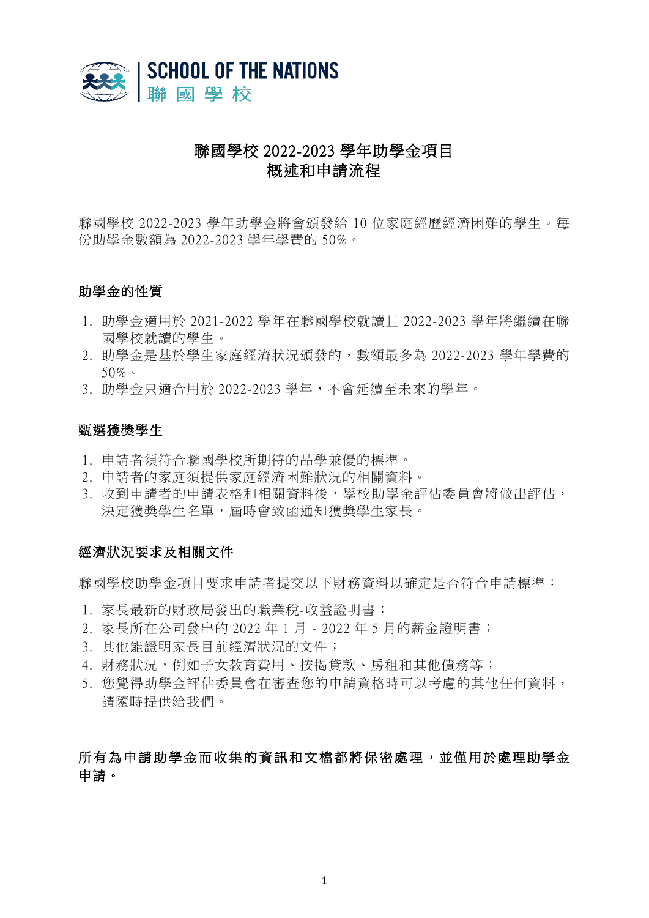

# 聯國學校 2022-2023 學年助學金項目 概述和申請流程

聯國學校 2022-2023 學年助學金將會頒發給 10 位家庭經歷經濟困難的學生。每 份助學金數額為 2022-2023 學年學費的 50%。

### 助學金的性質

- 1. 助學金適用於 2021-2022 學年在聯國學校就讀且 2022-2023 學年將繼續在聯 國學校就讀的學生。
- 2. 助學金是基於學生家庭經濟狀況頒發的,數額最多為 2022-2023 學年學費的 50%。
- 3. 助學金只適合用於 2022-2023 學年,不會延續至未來的學年。

#### 甄選獲獎學生

- 1. 申請者須符合聯國學校所期待的品學兼優的標準。
- 2. 申請者的家庭須提供家庭經濟困難狀況的相關資料。
- 3. 收到申請者的申請表格和相關資料後,學校助學金評估委員會將做出評估, 決定獲獎學生名單,屆時會致函通知獲獎學生家長。

#### 經濟狀況要求及相關文件

聯國學校助學金項目要求申請者提交以下財務資料以確定是否符合申請標準:

- 1. 家長最新的財政局發出的職業稅-收益證明書;
- 2. 家長所在公司發出的 2022 年 1 月 2022 年 5 月的薪金證明書;
- 3. 其他能證明家長目前經濟狀況的文件;
- 4. 財務狀況,例如子女教育費用、按揭貸款、房租和其他債務等;
- 5. 您覺得助學金評估委員會在審查您的申請資格時可以考慮的其他任何資料, 請隨時提供給我們。

# 所有為申請助學金而收集的資訊和文檔都將保密處理,並僅用於處理助學金 申請。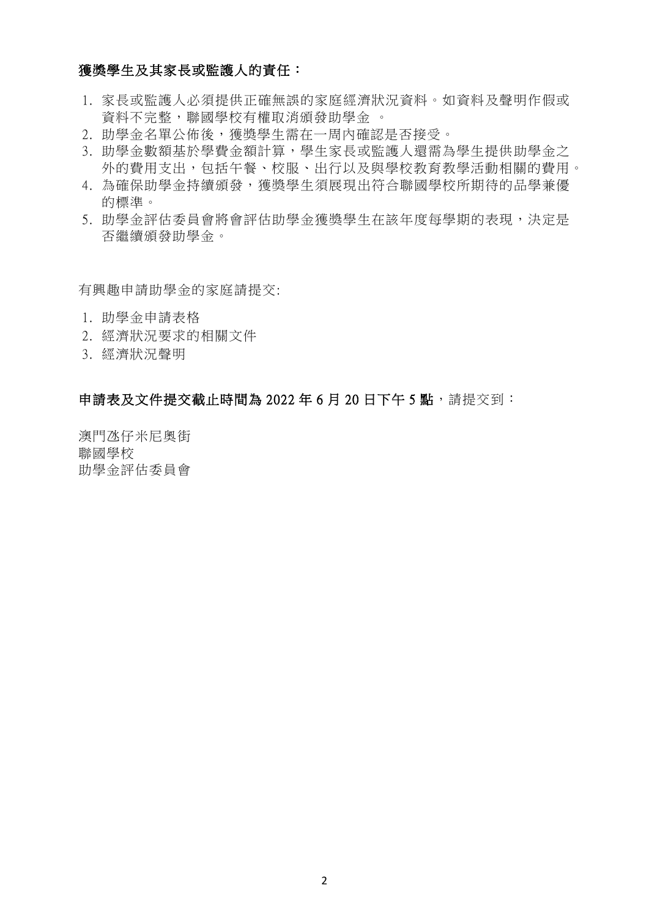# 獲獎學生及其家長或監護人的責任:

- 1. 家長或監護人必須提供正確無誤的家庭經濟狀況資料。如資料及聲明作假或 資料不完整,聯國學校有權取消頒發助學金 。
- 2. 助學金名單公佈後,獲獎學生需在一周內確認是否接受。
- 3. 助學金數額基於學費金額計算,學生家長或監護人還需為學生提供助學金之 外的費用支出,包括午餐、校服、出行以及與學校教育教學活動相關的費用。
- 4. 為確保助學金持續頒發,獲獎學生須展現出符合聯國學校所期待的品學兼優 的標準。
- 5. 助學金評估委員會將會評估助學金獲獎學生在該年度每學期的表現,決定是 否繼續頒發助學金。

有興趣申請助學金的家庭請提交:

- 1. 助學金申請表格
- 2. 經濟狀況要求的相關文件
- 3. 經濟狀況聲明

## 申請表及文件提交截止時間為 2022年6月 20日下午5點,請提交到:

澳門氹仔米尼奧街 聯國學校 助學金評估委員會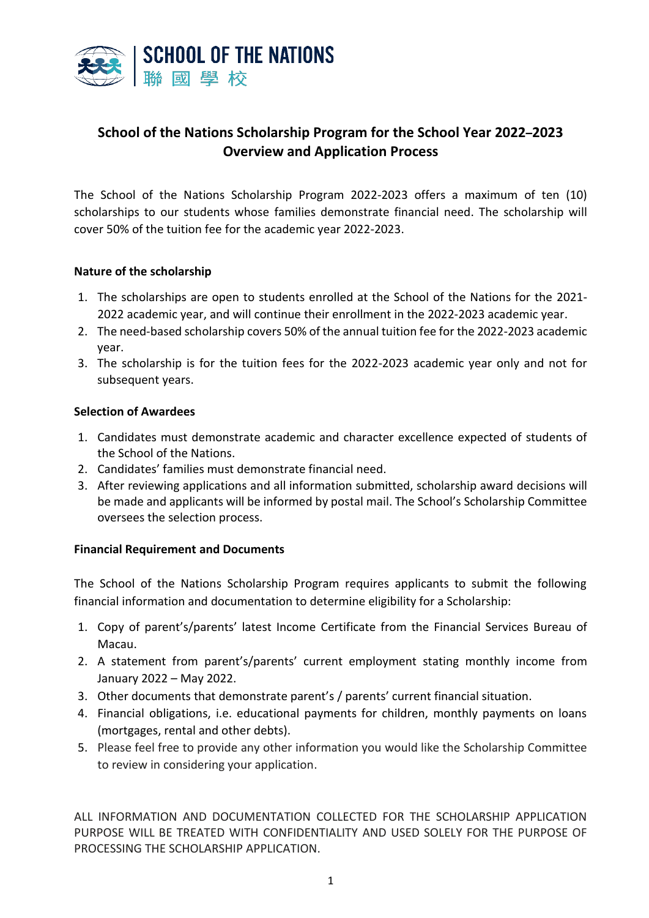

# **School of the Nations Scholarship Program for the School Year 2022–2023 Overview and Application Process**

The School of the Nations Scholarship Program 2022-2023 offers a maximum of ten (10) scholarships to our students whose families demonstrate financial need. The scholarship will cover 50% of the tuition fee for the academic year 2022-2023.

### **Nature of the scholarship**

- 1. The scholarships are open to students enrolled at the School of the Nations for the 2021- 2022 academic year, and will continue their enrollment in the 2022-2023 academic year.
- 2. The need-based scholarship covers 50% of the annual tuition fee for the 2022-2023 academic year.
- 3. The scholarship is for the tuition fees for the 2022-2023 academic year only and not for subsequent years.

### **Selection of Awardees**

- 1. Candidates must demonstrate academic and character excellence expected of students of the School of the Nations.
- 2. Candidates' families must demonstrate financial need.
- 3. After reviewing applications and all information submitted, scholarship award decisions will be made and applicants will be informed by postal mail. The School's Scholarship Committee oversees the selection process.

## **Financial Requirement and Documents**

The School of the Nations Scholarship Program requires applicants to submit the following financial information and documentation to determine eligibility for a Scholarship:

- 1. Copy of parent's/parents' latest Income Certificate from the Financial Services Bureau of Macau.
- 2. A statement from parent's/parents' current employment stating monthly income from January 2022 – May 2022.
- 3. Other documents that demonstrate parent's / parents' current financial situation.
- 4. Financial obligations, i.e. educational payments for children, monthly payments on loans (mortgages, rental and other debts).
- 5. Please feel free to provide any other information you would like the Scholarship Committee to review in considering your application.

ALL INFORMATION AND DOCUMENTATION COLLECTED FOR THE SCHOLARSHIP APPLICATION PURPOSE WILL BE TREATED WITH CONFIDENTIALITY AND USED SOLELY FOR THE PURPOSE OF PROCESSING THE SCHOLARSHIP APPLICATION.